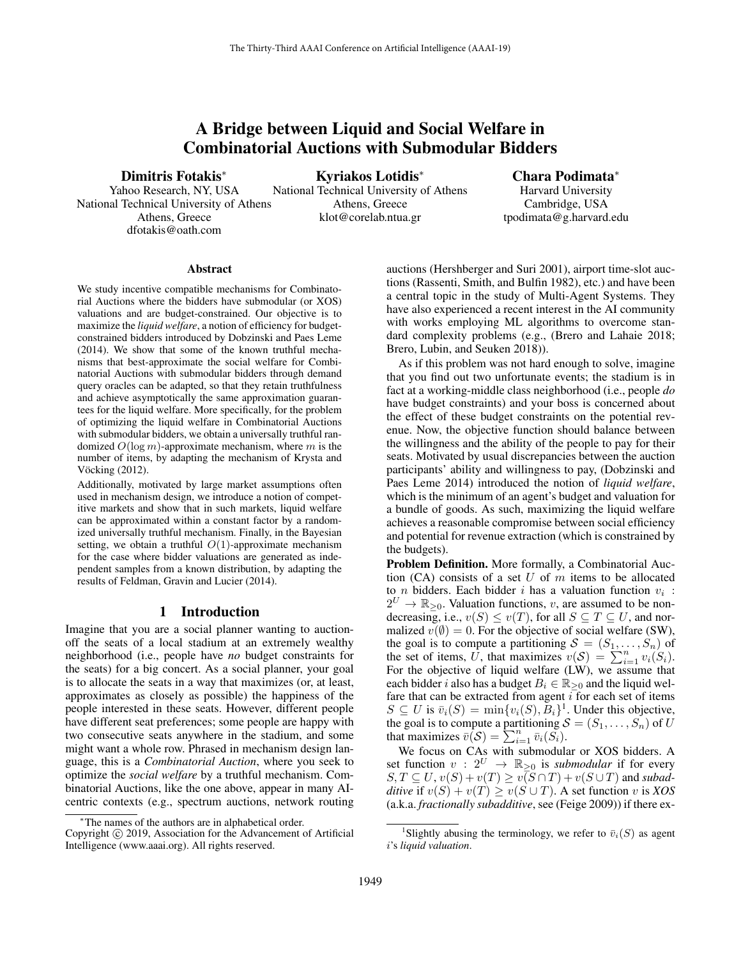# A Bridge between Liquid and Social Welfare in Combinatorial Auctions with Submodular Bidders

Dimitris Fotakis<sup>∗</sup>

Yahoo Research, NY, USA National Technical University of Athens Athens, Greece dfotakis@oath.com

Kyriakos Lotidis<sup>∗</sup> National Technical University of Athens Athens, Greece klot@corelab.ntua.gr

Chara Podimata<sup>∗</sup> Harvard University Cambridge, USA tpodimata@g.harvard.edu

#### Abstract

We study incentive compatible mechanisms for Combinatorial Auctions where the bidders have submodular (or XOS) valuations and are budget-constrained. Our objective is to maximize the *liquid welfare*, a notion of efficiency for budgetconstrained bidders introduced by Dobzinski and Paes Leme (2014). We show that some of the known truthful mechanisms that best-approximate the social welfare for Combinatorial Auctions with submodular bidders through demand query oracles can be adapted, so that they retain truthfulness and achieve asymptotically the same approximation guarantees for the liquid welfare. More specifically, for the problem of optimizing the liquid welfare in Combinatorial Auctions with submodular bidders, we obtain a universally truthful randomized  $O(\log m)$ -approximate mechanism, where m is the number of items, by adapting the mechanism of Krysta and Vöcking (2012).

Additionally, motivated by large market assumptions often used in mechanism design, we introduce a notion of competitive markets and show that in such markets, liquid welfare can be approximated within a constant factor by a randomized universally truthful mechanism. Finally, in the Bayesian setting, we obtain a truthful  $O(1)$ -approximate mechanism for the case where bidder valuations are generated as independent samples from a known distribution, by adapting the results of Feldman, Gravin and Lucier (2014).

### 1 Introduction

Imagine that you are a social planner wanting to auctionoff the seats of a local stadium at an extremely wealthy neighborhood (i.e., people have *no* budget constraints for the seats) for a big concert. As a social planner, your goal is to allocate the seats in a way that maximizes (or, at least, approximates as closely as possible) the happiness of the people interested in these seats. However, different people have different seat preferences; some people are happy with two consecutive seats anywhere in the stadium, and some might want a whole row. Phrased in mechanism design language, this is a *Combinatorial Auction*, where you seek to optimize the *social welfare* by a truthful mechanism. Combinatorial Auctions, like the one above, appear in many AIcentric contexts (e.g., spectrum auctions, network routing

auctions (Hershberger and Suri 2001), airport time-slot auctions (Rassenti, Smith, and Bulfin 1982), etc.) and have been a central topic in the study of Multi-Agent Systems. They have also experienced a recent interest in the AI community with works employing ML algorithms to overcome standard complexity problems (e.g., (Brero and Lahaie 2018; Brero, Lubin, and Seuken 2018)).

As if this problem was not hard enough to solve, imagine that you find out two unfortunate events; the stadium is in fact at a working-middle class neighborhood (i.e., people *do* have budget constraints) and your boss is concerned about the effect of these budget constraints on the potential revenue. Now, the objective function should balance between the willingness and the ability of the people to pay for their seats. Motivated by usual discrepancies between the auction participants' ability and willingness to pay, (Dobzinski and Paes Leme 2014) introduced the notion of *liquid welfare*, which is the minimum of an agent's budget and valuation for a bundle of goods. As such, maximizing the liquid welfare achieves a reasonable compromise between social efficiency and potential for revenue extraction (which is constrained by the budgets).

Problem Definition. More formally, a Combinatorial Auction  $(CA)$  consists of a set U of m items to be allocated to *n* bidders. Each bidder *i* has a valuation function  $v_i$ :  $2^U \rightarrow \mathbb{R}_{\geq 0}$ . Valuation functions, v, are assumed to be nondecreasing, i.e.,  $v(S) \le v(T)$ , for all  $S \subseteq T \subseteq U$ , and normalized  $v(\emptyset) = 0$ . For the objective of social welfare (SW), the goal is to compute a partitioning  $S = (S_1, \ldots, S_n)$  of the set of items, U, that maximizes  $v(S) = \sum_{i=1}^{n} v_i(S_i)$ . For the objective of liquid welfare (LW), we assume that each bidder *i* also has a budget  $B_i \in \mathbb{R}_{\geq 0}$  and the liquid welfare that can be extracted from agent  $i$  for each set of items  $S \subseteq U$  is  $\bar{v}_i(S) = \min\{v_i(S), \bar{B}_i\}^1$ . Under this objective, the goal is to compute a partitioning  $S = (S_1, \ldots, S_n)$  of U that maximizes  $\overline{v}(S) = \sum_{i=1}^{n} \overline{v}_i(S_i)$ .

We focus on CAs with submodular or XOS bidders. A set function  $v: 2^U \rightarrow \mathbb{R}_{\geq 0}$  is *submodular* if for every  $S, T \subseteq U, v(S) + v(T) \ge v(S \cap T) + v(S \cup T)$  and *subadditive* if  $v(S) + v(T) \ge v(S \cup T)$ . A set function v is *XOS* (a.k.a. *fractionally subadditive*, see (Feige 2009)) if there ex-

<sup>∗</sup>The names of the authors are in alphabetical order.

Copyright © 2019, Association for the Advancement of Artificial Intelligence (www.aaai.org). All rights reserved.

<sup>&</sup>lt;sup>1</sup>Slightly abusing the terminology, we refer to  $\bar{v}_i(S)$  as agent i's *liquid valuation*.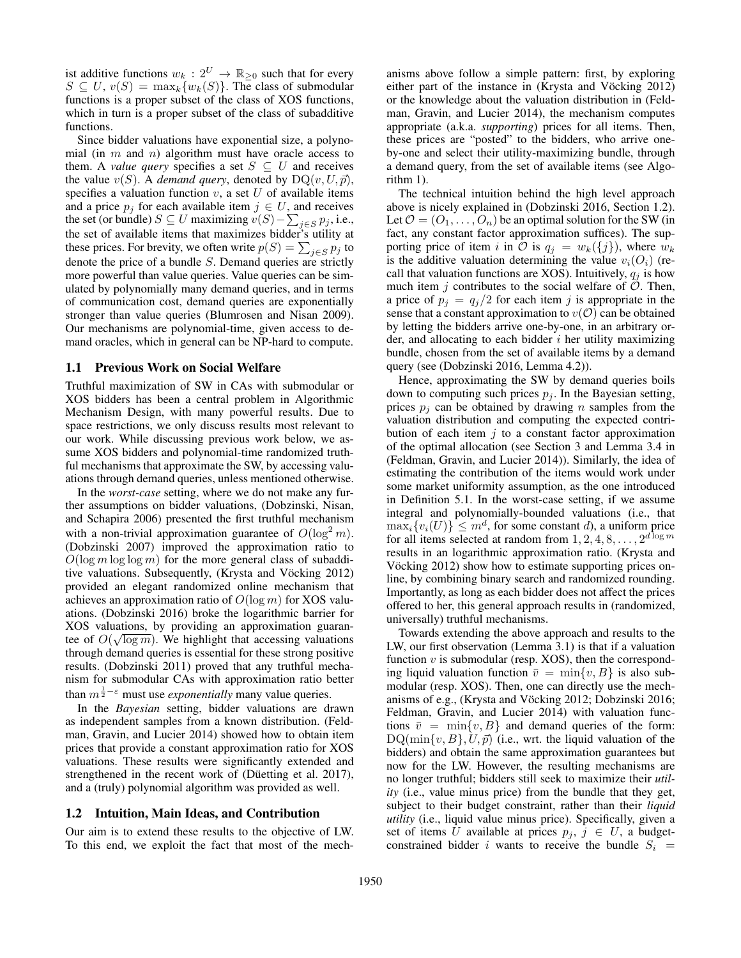ist additive functions  $w_k : 2^U \to \mathbb{R}_{\geq 0}$  such that for every  $S \subseteq U$ ,  $v(S) = \max_k \{w_k(S)\}\$ . The class of submodular functions is a proper subset of the class of XOS functions, which in turn is a proper subset of the class of subadditive functions.

Since bidder valuations have exponential size, a polynomial (in  $m$  and  $n$ ) algorithm must have oracle access to them. A *value query* specifies a set  $S \subseteq U$  and receives the value  $v(S)$ . A *demand query*, denoted by  $DQ(v, U, \vec{p})$ , specifies a valuation function  $v$ , a set  $U$  of available items and a price  $p_i$  for each available item  $j \in U$ , and receives the set (or bundle)  $S \subseteq U$  maximizing  $v(S) - \sum_{j \in S} p_j$ , i.e., the set of available items that maximizes bidder's utility at these prices. For brevity, we often write  $p(S) = \sum_{j \in S} p_j$  to denote the price of a bundle S. Demand queries are strictly more powerful than value queries. Value queries can be simulated by polynomially many demand queries, and in terms of communication cost, demand queries are exponentially stronger than value queries (Blumrosen and Nisan 2009). Our mechanisms are polynomial-time, given access to demand oracles, which in general can be NP-hard to compute.

## 1.1 Previous Work on Social Welfare

Truthful maximization of SW in CAs with submodular or XOS bidders has been a central problem in Algorithmic Mechanism Design, with many powerful results. Due to space restrictions, we only discuss results most relevant to our work. While discussing previous work below, we assume XOS bidders and polynomial-time randomized truthful mechanisms that approximate the SW, by accessing valuations through demand queries, unless mentioned otherwise.

In the *worst-case* setting, where we do not make any further assumptions on bidder valuations, (Dobzinski, Nisan, and Schapira 2006) presented the first truthful mechanism with a non-trivial approximation guarantee of  $O(\log^2 m)$ . (Dobzinski 2007) improved the approximation ratio to  $O(\log m \log \log m)$  for the more general class of subadditive valuations. Subsequently, (Krysta and Vöcking 2012) provided an elegant randomized online mechanism that achieves an approximation ratio of  $O(\log m)$  for XOS valuations. (Dobzinski 2016) broke the logarithmic barrier for XOS valuations, by providing an approximation guarantee of  $O(\sqrt{\log m})$ . We highlight that accessing valuations through demand queries is essential for these strong positive results. (Dobzinski 2011) proved that any truthful mechanism for submodular CAs with approximation ratio better than  $m^{\frac{1}{2}-\varepsilon}$  must use *exponentially* many value queries.

In the *Bayesian* setting, bidder valuations are drawn as independent samples from a known distribution. (Feldman, Gravin, and Lucier 2014) showed how to obtain item prices that provide a constant approximation ratio for XOS valuations. These results were significantly extended and strengthened in the recent work of (Düetting et al. 2017), and a (truly) polynomial algorithm was provided as well.

#### 1.2 Intuition, Main Ideas, and Contribution

Our aim is to extend these results to the objective of LW. To this end, we exploit the fact that most of the mech-

anisms above follow a simple pattern: first, by exploring either part of the instance in (Krysta and Vöcking 2012) or the knowledge about the valuation distribution in (Feldman, Gravin, and Lucier 2014), the mechanism computes appropriate (a.k.a. *supporting*) prices for all items. Then, these prices are "posted" to the bidders, who arrive oneby-one and select their utility-maximizing bundle, through a demand query, from the set of available items (see Algorithm 1).

The technical intuition behind the high level approach above is nicely explained in (Dobzinski 2016, Section 1.2). Let  $\mathcal{O} = (O_1, \ldots, O_n)$  be an optimal solution for the SW (in fact, any constant factor approximation suffices). The supporting price of item i in  $\mathcal O$  is  $q_i = w_k(\{j\})$ , where  $w_k$ is the additive valuation determining the value  $v_i(O_i)$  (recall that valuation functions are XOS). Intuitively,  $q_j$  is how much item  $j$  contributes to the social welfare of  $\check{\mathcal{O}}$ . Then, a price of  $p_j = q_j/2$  for each item j is appropriate in the sense that a constant approximation to  $v(\mathcal{O})$  can be obtained by letting the bidders arrive one-by-one, in an arbitrary order, and allocating to each bidder  $i$  her utility maximizing bundle, chosen from the set of available items by a demand query (see (Dobzinski 2016, Lemma 4.2)).

Hence, approximating the SW by demand queries boils down to computing such prices  $p_i$ . In the Bayesian setting, prices  $p_i$  can be obtained by drawing n samples from the valuation distribution and computing the expected contribution of each item  $j$  to a constant factor approximation of the optimal allocation (see Section 3 and Lemma 3.4 in (Feldman, Gravin, and Lucier 2014)). Similarly, the idea of estimating the contribution of the items would work under some market uniformity assumption, as the one introduced in Definition 5.1. In the worst-case setting, if we assume integral and polynomially-bounded valuations (i.e., that  $\max_i \{v_i(U)\} \leq m^d$ , for some constant d), a uniform price for all items selected at random from  $1, 2, 4, 8, \ldots, 2^{d \log m}$ results in an logarithmic approximation ratio. (Krysta and Vöcking 2012) show how to estimate supporting prices online, by combining binary search and randomized rounding. Importantly, as long as each bidder does not affect the prices offered to her, this general approach results in (randomized, universally) truthful mechanisms.

Towards extending the above approach and results to the LW, our first observation (Lemma 3.1) is that if a valuation function  $v$  is submodular (resp. XOS), then the corresponding liquid valuation function  $\bar{v} = \min\{v, B\}$  is also submodular (resp. XOS). Then, one can directly use the mechanisms of e.g., (Krysta and Vöcking 2012; Dobzinski 2016; Feldman, Gravin, and Lucier 2014) with valuation functions  $\bar{v} = \min\{v, B\}$  and demand queries of the form:  $DQ(\min\{v, B\}, U, \vec{p})$  (i.e., wrt. the liquid valuation of the bidders) and obtain the same approximation guarantees but now for the LW. However, the resulting mechanisms are no longer truthful; bidders still seek to maximize their *utility* (i.e., value minus price) from the bundle that they get, subject to their budget constraint, rather than their *liquid utility* (i.e., liquid value minus price). Specifically, given a set of items U available at prices  $p_i, j \in U$ , a budgetconstrained bidder i wants to receive the bundle  $S_i$  =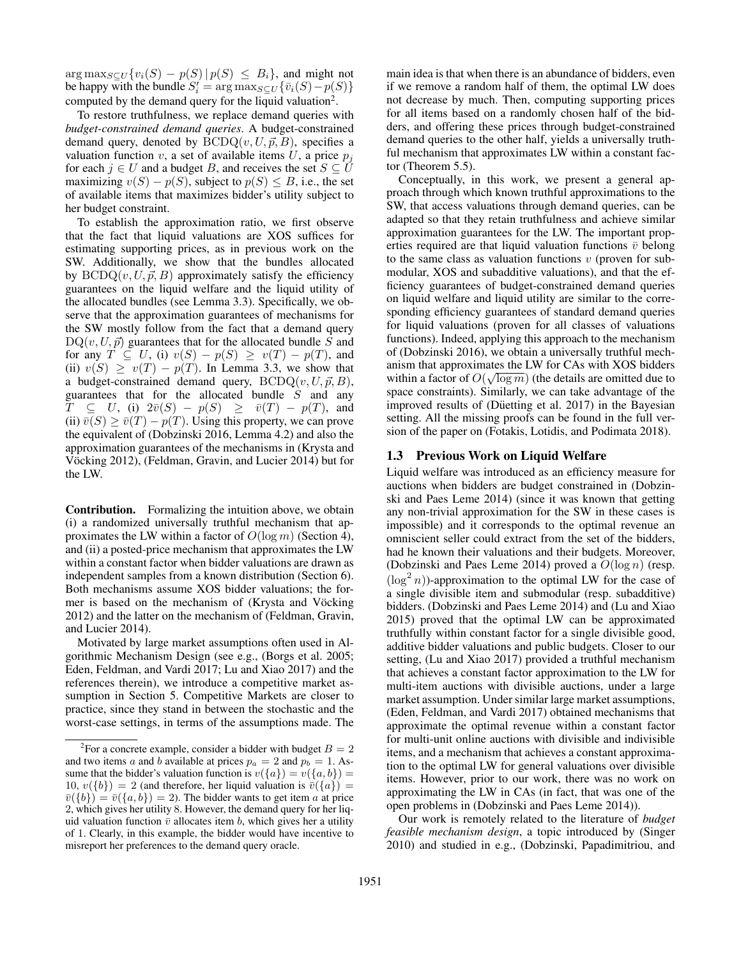$\arg \max_{S \subseteq U} \{v_i(S) - p(S) | p(S) \leq B_i\}$ , and might not be happy with the bundle  $S_i' = \arg \max_{S \subseteq U} \{ \bar{v}_i(S) - p(S) \}$ computed by the demand query for the liquid valuation<sup>2</sup>.

To restore truthfulness, we replace demand queries with *budget-constrained demand queries*. A budget-constrained demand query, denoted by  $BCDQ(v, U, \vec{p}, B)$ , specifies a valuation function v, a set of available items  $U$ , a price  $p_i$ for each  $j \in U$  and a budget B, and receives the set  $S \subseteq U$ maximizing  $v(S) - p(S)$ , subject to  $p(S) \leq B$ , i.e., the set of available items that maximizes bidder's utility subject to her budget constraint.

To establish the approximation ratio, we first observe that the fact that liquid valuations are XOS suffices for estimating supporting prices, as in previous work on the SW. Additionally, we show that the bundles allocated by  $BCDQ(v, U, \vec{p}, B)$  approximately satisfy the efficiency guarantees on the liquid welfare and the liquid utility of the allocated bundles (see Lemma 3.3). Specifically, we observe that the approximation guarantees of mechanisms for the SW mostly follow from the fact that a demand query  $DQ(v, U, \vec{p})$  guarantees that for the allocated bundle S and for any  $T \subseteq U$ , (i)  $v(S) - p(S) \ge v(T) - p(T)$ , and (ii)  $v(S) \ge v(T) - p(T)$ . In Lemma 3.3, we show that a budget-constrained demand query,  $BCDQ(v, U, \vec{p}, B)$ , guarantees that for the allocated bundle  $\ddot{S}$  and any  $T \subseteq U$ , (i)  $2\bar{v}(S) - p(S) \ge \bar{v}(T) - p(T)$ , and (ii)  $\overline{v(S)} \ge \overline{v(T)} - p(T)$ . Using this property, we can prove the equivalent of (Dobzinski 2016, Lemma 4.2) and also the approximation guarantees of the mechanisms in (Krysta and Vöcking 2012), (Feldman, Gravin, and Lucier 2014) but for the LW.

Contribution. Formalizing the intuition above, we obtain (i) a randomized universally truthful mechanism that approximates the LW within a factor of  $O(\log m)$  (Section 4), and (ii) a posted-price mechanism that approximates the LW within a constant factor when bidder valuations are drawn as independent samples from a known distribution (Section 6). Both mechanisms assume XOS bidder valuations; the former is based on the mechanism of (Krysta and Vöcking 2012) and the latter on the mechanism of (Feldman, Gravin, and Lucier 2014).

Motivated by large market assumptions often used in Algorithmic Mechanism Design (see e.g., (Borgs et al. 2005; Eden, Feldman, and Vardi 2017; Lu and Xiao 2017) and the references therein), we introduce a competitive market assumption in Section 5. Competitive Markets are closer to practice, since they stand in between the stochastic and the worst-case settings, in terms of the assumptions made. The main idea is that when there is an abundance of bidders, even if we remove a random half of them, the optimal LW does not decrease by much. Then, computing supporting prices for all items based on a randomly chosen half of the bidders, and offering these prices through budget-constrained demand queries to the other half, yields a universally truthful mechanism that approximates LW within a constant factor (Theorem 5.5).

Conceptually, in this work, we present a general approach through which known truthful approximations to the SW, that access valuations through demand queries, can be adapted so that they retain truthfulness and achieve similar approximation guarantees for the LW. The important properties required are that liquid valuation functions  $\bar{v}$  belong to the same class as valuation functions  $v$  (proven for submodular, XOS and subadditive valuations), and that the efficiency guarantees of budget-constrained demand queries on liquid welfare and liquid utility are similar to the corresponding efficiency guarantees of standard demand queries for liquid valuations (proven for all classes of valuations functions). Indeed, applying this approach to the mechanism of (Dobzinski 2016), we obtain a universally truthful mechanism that approximates the LW for CAs with XOS bidders within a factor of  $O(\sqrt{\log m})$  (the details are omitted due to space constraints). Similarly, we can take advantage of the improved results of (Düetting et al. 2017) in the Bayesian setting. All the missing proofs can be found in the full version of the paper on (Fotakis, Lotidis, and Podimata 2018).

### 1.3 Previous Work on Liquid Welfare

Liquid welfare was introduced as an efficiency measure for auctions when bidders are budget constrained in (Dobzinski and Paes Leme 2014) (since it was known that getting any non-trivial approximation for the SW in these cases is impossible) and it corresponds to the optimal revenue an omniscient seller could extract from the set of the bidders, had he known their valuations and their budgets. Moreover, (Dobzinski and Paes Leme 2014) proved a  $O(\log n)$  (resp.  $(\log^2 n)$ )-approximation to the optimal LW for the case of a single divisible item and submodular (resp. subadditive) bidders. (Dobzinski and Paes Leme 2014) and (Lu and Xiao 2015) proved that the optimal LW can be approximated truthfully within constant factor for a single divisible good, additive bidder valuations and public budgets. Closer to our setting, (Lu and Xiao 2017) provided a truthful mechanism that achieves a constant factor approximation to the LW for multi-item auctions with divisible auctions, under a large market assumption. Under similar large market assumptions, (Eden, Feldman, and Vardi 2017) obtained mechanisms that approximate the optimal revenue within a constant factor for multi-unit online auctions with divisible and indivisible items, and a mechanism that achieves a constant approximation to the optimal LW for general valuations over divisible items. However, prior to our work, there was no work on approximating the LW in CAs (in fact, that was one of the open problems in (Dobzinski and Paes Leme 2014)).

Our work is remotely related to the literature of *budget feasible mechanism design*, a topic introduced by (Singer 2010) and studied in e.g., (Dobzinski, Papadimitriou, and

<sup>&</sup>lt;sup>2</sup>For a concrete example, consider a bidder with budget  $B = 2$ and two items a and b available at prices  $p_a = 2$  and  $p_b = 1$ . Assume that the bidder's valuation function is  $v({a}) = v({a}, {b}) =$ 10,  $v({b}) = 2$  (and therefore, her liquid valuation is  $\overline{v}({a}) =$  $\overline{v}(\{b\}) = \overline{v}(\{a, b\}) = 2$ . The bidder wants to get item a at price 2, which gives her utility 8. However, the demand query for her liquid valuation function  $\bar{v}$  allocates item b, which gives her a utility of 1. Clearly, in this example, the bidder would have incentive to misreport her preferences to the demand query oracle.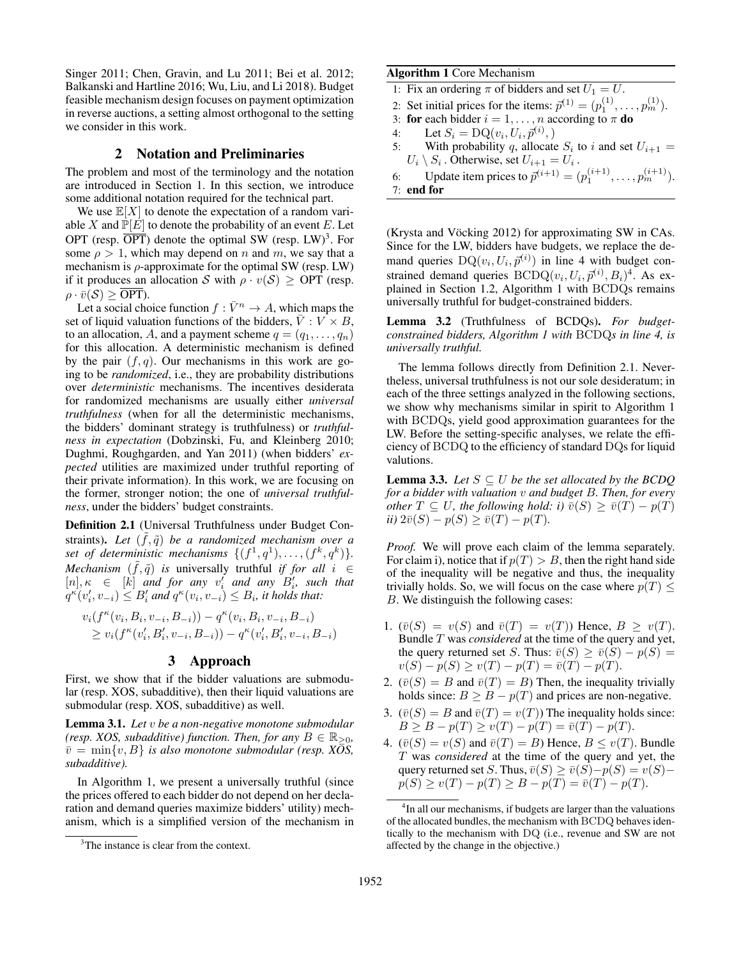Singer 2011; Chen, Gravin, and Lu 2011; Bei et al. 2012; Balkanski and Hartline 2016; Wu, Liu, and Li 2018). Budget feasible mechanism design focuses on payment optimization in reverse auctions, a setting almost orthogonal to the setting we consider in this work.

## 2 Notation and Preliminaries

The problem and most of the terminology and the notation are introduced in Section 1. In this section, we introduce some additional notation required for the technical part.

We use  $\mathbb{E}[X]$  to denote the expectation of a random variable X and  $\mathbb{P}[E]$  to denote the probability of an event E. Let OPT (resp.  $\overline{OPT}$ ) denote the optimal SW (resp. LW)<sup>3</sup>. For some  $\rho > 1$ , which may depend on n and m, we say that a mechanism is  $\rho$ -approximate for the optimal SW (resp. LW) if it produces an allocation S with  $\rho \cdot v(S) \geq \text{OPT}$  (resp.  $\rho \cdot \bar{v}(S) > \overline{\text{OPT}}$ ).

Let a social choice function  $f : \bar{V}^n \to A$ , which maps the set of liquid valuation functions of the bidders,  $\overline{V} : V \times B$ , to an allocation, A, and a payment scheme  $q = (q_1, \ldots, q_n)$ for this allocation. A deterministic mechanism is defined by the pair  $(f, q)$ . Our mechanisms in this work are going to be *randomized*, i.e., they are probability distributions over *deterministic* mechanisms. The incentives desiderata for randomized mechanisms are usually either *universal truthfulness* (when for all the deterministic mechanisms, the bidders' dominant strategy is truthfulness) or *truthfulness in expectation* (Dobzinski, Fu, and Kleinberg 2010; Dughmi, Roughgarden, and Yan 2011) (when bidders' *expected* utilities are maximized under truthful reporting of their private information). In this work, we are focusing on the former, stronger notion; the one of *universal truthfulness*, under the bidders' budget constraints.

Definition 2.1 (Universal Truthfulness under Budget Constraints). *Let*  $(\tilde{f}, \tilde{q})$  *be a randomized mechanism over a* set of deterministic mechanisms  $\{(f^1, q^1), \ldots, (f^k, q^k)\}.$ *Mechanism*  $(\tilde{f}, \tilde{q})$  *is* universally truthful *if for all*  $i \in$  $[n], \kappa \in [k]$  *and for any*  $v'_i$  *and any*  $B'_i$ *, such that*  $q^{\kappa}(v_i', v_{-i}) \leq B_i'$  and  $q^{\kappa}(v_i, v_{-i}) \leq B_i$ , it holds that:

$$
v_i(f^{\kappa}(v_i, B_i, v_{-i}, B_{-i})) - q^{\kappa}(v_i, B_i, v_{-i}, B_{-i})
$$
  
\n
$$
\geq v_i(f^{\kappa}(v'_i, B'_i, v_{-i}, B_{-i})) - q^{\kappa}(v'_i, B'_i, v_{-i}, B_{-i})
$$

## 3 Approach

First, we show that if the bidder valuations are submodular (resp. XOS, subadditive), then their liquid valuations are submodular (resp. XOS, subadditive) as well.

Lemma 3.1. *Let* v *be a non-negative monotone submodular (resp. XOS, subadditive) function. Then, for any*  $B \in \mathbb{R}_{\geq 0}$ *,*  $\bar{v} = \min\{v, B\}$  *is also monotone submodular (resp. XOS, subadditive).*

In Algorithm 1, we present a universally truthful (since the prices offered to each bidder do not depend on her declaration and demand queries maximize bidders' utility) mechanism, which is a simplified version of the mechanism in

### Algorithm 1 Core Mechanism

1: Fix an ordering  $\pi$  of bidders and set  $U_1 = U$ .

2: Set initial prices for the items:  $\bar{p}^{(1)} = (p_1^{(1)}, \dots, p_m^{(1)})$ .

- 3: for each bidder  $i = 1, \ldots, n$  according to  $\pi$  do
- 4: Let  $S_i = \text{DQ}(v_i, U_i, \vec{p}^{(i)},)$
- 5: With probability q, allocate  $S_i$  to i and set  $U_{i+1} =$  $U_i \setminus S_i$ . Otherwise, set  $U_{i+1} = U_i$ .

6: Update item prices to  $\bar{p}^{(i+1)} = (p_1^{(i+1)}, \dots, p_m^{(i+1)}).$ 7: end for

(Krysta and Vöcking 2012) for approximating SW in CAs. Since for the LW, bidders have budgets, we replace the demand queries  $DQ(v_i, U_i, \bar{p}^{(i)})$  in line 4 with budget constrained demand queries  $BCDQ(v_i, U_i, \vec{p}^{(i)}, B_i)^4$ . As explained in Section 1.2, Algorithm 1 with BCDQs remains universally truthful for budget-constrained bidders.

Lemma 3.2 (Truthfulness of BCDQs). *For budgetconstrained bidders, Algorithm 1 with* BCDQ*s in line 4, is universally truthful.*

The lemma follows directly from Definition 2.1. Nevertheless, universal truthfulness is not our sole desideratum; in each of the three settings analyzed in the following sections, we show why mechanisms similar in spirit to Algorithm 1 with BCDQs, yield good approximation guarantees for the LW. Before the setting-specific analyses, we relate the efficiency of BCDQ to the efficiency of standard DQs for liquid valutions.

**Lemma 3.3.** *Let*  $S \subseteq U$  *be the set allocated by the BCDQ for a bidder with valuation* v *and budget* B*. Then, for every other*  $T \subseteq U$ *, the following hold: i)*  $\bar{v}(S) \geq \bar{v}(T) - p(T)$ *ii*)  $2\bar{v}(S) - p(S) \geq \bar{v}(T) - p(T)$ .

*Proof.* We will prove each claim of the lemma separately. For claim i), notice that if  $p(T) > B$ , then the right hand side of the inequality will be negative and thus, the inequality trivially holds. So, we will focus on the case where  $p(T)$  < B. We distinguish the following cases:

- 1.  $(\bar{v}(S) = v(S)$  and  $\bar{v}(T) = v(T)$ ) Hence,  $B \ge v(T)$ . Bundle T was *considered* at the time of the query and yet, the query returned set S. Thus:  $\overline{v}(S) \ge \overline{v}(S) - p(S) =$  $v(S) - p(S) \ge v(T) - p(T) = \bar{v}(T) - p(T).$
- 2.  $(\bar{v}(S) = B \text{ and } \bar{v}(T) = B)$  Then, the inequality trivially holds since:  $B \geq B - p(T)$  and prices are non-negative.
- 3.  $(\bar{v}(S) = B \text{ and } \bar{v}(T) = v(T))$  The inequality holds since:  $B \geq B - p(T) \geq v(T) - p(T) = \bar{v}(T) - p(T).$
- 4.  $(\bar{v}(S) = v(S)$  and  $\bar{v}(T) = B$ ) Hence,  $B \le v(T)$ . Bundle T was *considered* at the time of the query and yet, the query returned set S. Thus,  $\bar{v}(S) \ge \bar{v}(S) - p(S) = v(S) - \bar{v}(S)$  $p(S) \ge v(T) - p(T) \ge B - p(T) = \overline{v}(T) - p(T).$

<sup>&</sup>lt;sup>3</sup>The instance is clear from the context.

<sup>&</sup>lt;sup>4</sup>In all our mechanisms, if budgets are larger than the valuations of the allocated bundles, the mechanism with BCDQ behaves identically to the mechanism with DQ (i.e., revenue and SW are not affected by the change in the objective.)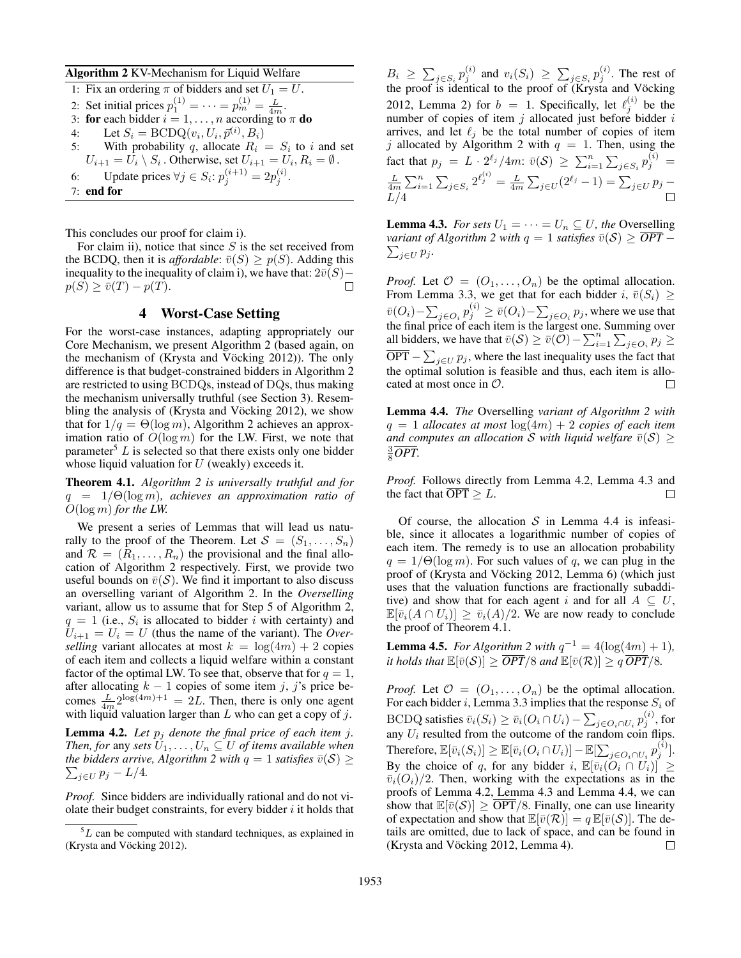#### Algorithm 2 KV-Mechanism for Liquid Welfare

| 1: Fix an ordering $\pi$ of bidders and set $U_1 = U$ .                              |
|--------------------------------------------------------------------------------------|
| 2: Set initial prices $p_1^{(1)} = \cdots = p_m^{(1)} = \frac{L}{4m}$ .              |
| 3: for each bidder $i = 1, , n$ according to $\pi$ do                                |
| 4: Let $S_i = BCDQ(v_i, U_i, \vec{p}^{(i)}, B_i)$                                    |
| 5: With probability q, allocate $R_i = S_i$ to i and set                             |
| $U_{i+1} = U_i \setminus S_i$ . Otherwise, set $U_{i+1} = U_i$ , $R_i = \emptyset$ . |
| 6: Update prices $\forall j \in S_i$ : $p_i^{(i+1)} = 2p_i^{(i)}$ .                  |
| $7:$ end for                                                                         |
|                                                                                      |

This concludes our proof for claim i).

For claim ii), notice that since  $S$  is the set received from the BCDQ, then it is *affordable*:  $\bar{v}(S) \geq p(S)$ . Adding this inequality to the inequality of claim i), we have that:  $2\bar{v}(S)$  –  $p(S) \geq \overline{v}(T) - p(T).$  $\Box$ 

## 4 Worst-Case Setting

For the worst-case instances, adapting appropriately our Core Mechanism, we present Algorithm 2 (based again, on the mechanism of (Krysta and Vöcking 2012)). The only difference is that budget-constrained bidders in Algorithm 2 are restricted to using BCDQs, instead of DQs, thus making the mechanism universally truthful (see Section 3). Resembling the analysis of (Krysta and Vöcking 2012), we show that for  $1/q = \Theta(\log m)$ , Algorithm 2 achieves an approximation ratio of  $O(\log m)$  for the LW. First, we note that parameter<sup>5</sup>  $L$  is selected so that there exists only one bidder whose liquid valuation for  $U$  (weakly) exceeds it.

Theorem 4.1. *Algorithm 2 is universally truthful and for* q = 1/Θ(log m)*, achieves an approximation ratio of* O(log m) *for the LW.*

We present a series of Lemmas that will lead us naturally to the proof of the Theorem. Let  $S = (S_1, \ldots, S_n)$ and  $\mathcal{R} = (R_1, \ldots, R_n)$  the provisional and the final allocation of Algorithm 2 respectively. First, we provide two useful bounds on  $\bar{v}(S)$ . We find it important to also discuss an overselling variant of Algorithm 2. In the *Overselling* variant, allow us to assume that for Step 5 of Algorithm 2,  $q = 1$  (i.e.,  $S_i$  is allocated to bidder i with certainty) and  $U_{i+1} = U_i = U$  (thus the name of the variant). The *Overselling* variant allocates at most  $k = \log(4m) + 2$  copies of each item and collects a liquid welfare within a constant factor of the optimal LW. To see that, observe that for  $q = 1$ , after allocating  $k - 1$  copies of some item j, j's price becomes  $\frac{L}{4m} 2^{\log(4m)+1} = 2L$ . Then, there is only one agent with liquid valuation larger than  $L$  who can get a copy of  $j$ .

**Lemma 4.2.** Let  $p_i$  denote the final price of each item j. *Then, for* any *sets*  $U_1, \ldots, U_n \subseteq U$  *of items available when*  $\sum_{j\in U} p_j - L/4.$ *the bidders arrive, Algorithm 2 with*  $q = 1$  *satisfies*  $\bar{v}(S) \geq$ 

*Proof.* Since bidders are individually rational and do not violate their budget constraints, for every bidder  $i$  it holds that

 $B_i \geq \sum_{j \in S_i} p_j^{(i)}$  and  $v_i(S_i) \geq \sum_{j \in S_i} p_j^{(i)}$ . The rest of the proof is identical to the proof of (Krysta and Vöcking 2012, Lemma 2) for  $b = 1$ . Specifically, let  $\ell_j^{(i)}$  be the number of copies of item  $j$  allocated just before bidder  $i$ arrives, and let  $\ell_i$  be the total number of copies of item j allocated by Algorithm 2 with  $q = 1$ . Then, using the fact that  $p_j = L \cdot 2^{\ell_j}/4m$ :  $\bar{v}(S) \ge \sum_{i=1}^n \sum_{j \in S_i} p_j^{(i)} =$  $\frac{L}{4m} \sum_{i=1}^{n} \sum_{j \in S_i} 2^{\ell_j^{(i)}} = \frac{L}{4m} \sum_{j \in U} (2^{\ell_j} - 1) = \sum_{j \in U} p_j$  $L/4$ 

**Lemma 4.3.** *For sets*  $U_1 = \cdots = U_n \subseteq U$ *, the* Overselling  $\sum_{j\in U} p_j$ . *variant of Algorithm 2 with*  $q = 1$  *satisfies*  $\overline{v(S)} \geq \overline{OPT}$ 

*Proof.* Let  $\mathcal{O} = (O_1, \ldots, O_n)$  be the optimal allocation. From Lemma 3.3, we get that for each bidder i,  $\bar{v}(S_i) \geq$  $\bar{v}(O_i) - \sum_{j \in O_i} p_j^{(i)} \ge \bar{v}(O_i) - \sum_{j \in O_i} p_j$ , where we use that the final price of each item is the largest one. Summing over all bidders, we have that  $\bar{v}(S) \ge \bar{v}(O) - \sum_{i=1}^n \sum_{j \in O_i} p_j \ge$  $\overline{OPT} - \sum_{j \in U} p_j$ , where the last inequality uses the fact that the optimal solution is feasible and thus, each item is allocated at most once in O.  $\Box$ 

Lemma 4.4. *The* Overselling *variant of Algorithm 2 with*  $q = 1$  *allocates at most*  $log(4m) + 2$  *copies of each item and computes an allocation* S with liquid welfare  $\bar{v}(S) \geq$  $\frac{3}{8}\overline{OPT}.$ 

*Proof.* Follows directly from Lemma 4.2, Lemma 4.3 and the fact that  $\overline{OPT} > L$ . П

Of course, the allocation  $S$  in Lemma 4.4 is infeasible, since it allocates a logarithmic number of copies of each item. The remedy is to use an allocation probability  $q = 1/\Theta(\log m)$ . For such values of q, we can plug in the proof of (Krysta and Vöcking 2012, Lemma 6) (which just uses that the valuation functions are fractionally subadditive) and show that for each agent i and for all  $A \subseteq U$ ,  $\mathbb{E}[\bar{v}_i(A \cap U_i)] \ge \bar{v}_i(A)/2$ . We are now ready to conclude the proof of Theorem 4.1.

**Lemma 4.5.** *For Algorithm 2 with*  $q^{-1} = 4(\log(4m) + 1)$ *, it holds that*  $\mathbb{E}[\bar{v}(\mathcal{S})] \geq \overline{OPT}/8$  *and*  $\mathbb{E}[\bar{v}(\mathcal{R})] \geq q \overline{OPT}/8$ *.* 

*Proof.* Let  $\mathcal{O} = (O_1, \ldots, O_n)$  be the optimal allocation. For each bidder i, Lemma 3.3 implies that the response  $S_i$  of BCDQ satisfies  $\bar{v}_i(S_i) \geq \bar{v}_i(O_i \cap U_i) - \sum_{j \in O_i \cap U_i} p_j^{(i)},$  for any  $U_i$  resulted from the outcome of the random coin flips. Therefore,  $\mathbb{E}[\bar{v}_i(S_i)] \geq \mathbb{E}[\bar{v}_i(O_i \cap U_i)] - \mathbb{E}[\sum_{j \in O_i \cap U_i} p_j^{(i)}].$ By the choice of q, for any bidder i,  $\mathbb{E}[\bar{v}_i(O_i \cap U_i)] \geq$  $\overline{v}_i(O_i)/2$ . Then, working with the expectations as in the proofs of Lemma 4.2, Lemma 4.3 and Lemma 4.4, we can show that  $\mathbb{E}[\bar{v}(\mathcal{S})] \geq \overline{\text{OPT}}/8$ . Finally, one can use linearity of expectation and show that  $\mathbb{E}[\bar{v}(\mathcal{R})] = q \mathbb{E}[\bar{v}(\mathcal{S})]$ . The details are omitted, due to lack of space, and can be found in (Krysta and Vöcking 2012, Lemma 4). □

 ${}^{5}L$  can be computed with standard techniques, as explained in (Krysta and Vöcking 2012).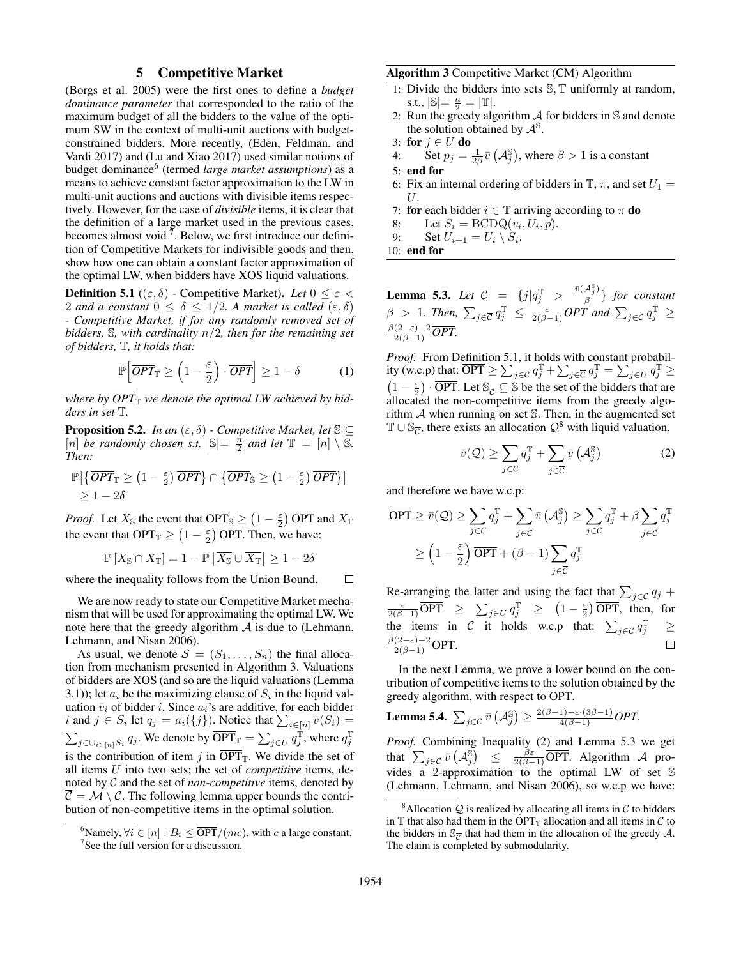## 5 Competitive Market

(Borgs et al. 2005) were the first ones to define a *budget dominance parameter* that corresponded to the ratio of the maximum budget of all the bidders to the value of the optimum SW in the context of multi-unit auctions with budgetconstrained bidders. More recently, (Eden, Feldman, and Vardi 2017) and (Lu and Xiao 2017) used similar notions of budget dominance<sup>6</sup> (termed *large market assumptions*) as a means to achieve constant factor approximation to the LW in multi-unit auctions and auctions with divisible items respectively. However, for the case of *divisible* items, it is clear that the definition of a large market used in the previous cases, becomes almost void  $<sup>7</sup>$ . Below, we first introduce our defini-</sup> tion of Competitive Markets for indivisible goods and then, show how one can obtain a constant factor approximation of the optimal LW, when bidders have XOS liquid valuations.

**Definition 5.1** (( $\varepsilon$ ,  $\delta$ ) - Competitive Market). *Let*  $0 \leq \varepsilon$ 2 *and a constant*  $0 \le \delta \le 1/2$ *. A market is called*  $(\epsilon, \delta)$ *- Competitive Market, if for any randomly removed set of bidders,* S*, with cardinality* n/2*, then for the remaining set of bidders,* T*, it holds that:*

$$
\mathbb{P}\left[\overline{OPT}_{\mathbb{T}} \ge \left(1 - \frac{\varepsilon}{2}\right) \cdot \overline{OPT}\right] \ge 1 - \delta \tag{1}
$$

where by  $\overline{OPT}_{\mathbb{T}}$  we denote the optimal LW achieved by bid*ders in set* T*.*

**Proposition 5.2.** *In an*  $(\varepsilon, \delta)$  *- Competitive Market, let*  $\mathbb{S} \subseteq$ [n] *be randomly chosen s.t.*  $|\mathbb{S}| = \frac{\hbar}{2}$  *and let*  $\mathbb{T} = [n] \setminus \overline{\mathbb{S}}$ *. Then:*

$$
\mathbb{P}\left[\left\{\overline{OPT}_{\mathbb{T}} \geq \left(1 - \frac{\varepsilon}{2}\right) \overline{OPT}\right\} \cap \left\{\overline{OPT}_{\mathbb{S}} \geq \left(1 - \frac{\varepsilon}{2}\right) \overline{OPT}\right\}\right] \geq 1 - 2\delta
$$

*Proof.* Let  $X_{\mathbb{S}}$  the event that  $\overline{\text{OPT}}_{\mathbb{S}} \geq (1 - \frac{\varepsilon}{2}) \, \overline{\text{OPT}}$  and  $X_{\mathbb{T}}$ the event that  $\overline{\text{OPT}}_{\mathbb{T}} \geq (1 - \frac{\varepsilon}{2}) \overline{\text{OPT}}$ . Then, we have:

$$
\mathbb{P}\left[X_{\mathbb{S}} \cap X_{\mathbb{T}}\right] = 1 - \mathbb{P}\left[\overline{X_{\mathbb{S}}} \cup \overline{X_{\mathbb{T}}}\right] \ge 1 - 2\delta
$$

where the inequality follows from the Union Bound.  $\Box$ 

We are now ready to state our Competitive Market mechanism that will be used for approximating the optimal LW. We note here that the greedy algorithm  $\mathcal A$  is due to (Lehmann, Lehmann, and Nisan 2006).

As usual, we denote  $S = (S_1, \ldots, S_n)$  the final allocation from mechanism presented in Algorithm 3. Valuations of bidders are XOS (and so are the liquid valuations (Lemma 3.1)); let  $a_i$  be the maximizing clause of  $S_i$  in the liquid valuation  $\bar{v}_i$  of bidder *i*. Since  $a_i$ 's are additive, for each bidder *i* and  $j \in S_i$  let  $q_j = a_i({j})$ . Notice that  $\sum_{i \in [n]} \bar{v}(S_i) =$  $\sum_{j \in \bigcup_{i \in [n]} S_i} q_j$ . We denote by  $\overline{\text{OPT}}_{\mathbb{T}} = \sum_{j \in U} q_j^{\mathbb{T}}$ , where  $q_j^{\mathbb{T}}$ is the contribution of item j in  $\overline{OPT}_T$ . We divide the set of all items U into two sets; the set of *competitive* items, denoted by C and the set of *non-competitive* items, denoted by  $\overline{C} = \mathcal{M} \setminus \mathcal{C}$ . The following lemma upper bounds the contribution of non-competitive items in the optimal solution.

#### Algorithm 3 Competitive Market (CM) Algorithm

- 1: Divide the bidders into sets  $\mathbb{S}, \mathbb{T}$  uniformly at random, s.t.,  $|\mathbb{S}| = \frac{n}{2} = |\mathbb{T}|$ .
- 2: Run the greedy algorithm  $A$  for bidders in  $S$  and denote the solution obtained by  $\mathcal{A}^{\mathbb{S}}$ .
- 3: for  $j \in U$  do
- 4: Set  $p_j = \frac{1}{2\beta} \bar{v} \left( \mathcal{A}_j^{\mathbb{S}} \right)$ , where  $\beta > 1$  is a constant
- 5: end for
- 6: Fix an internal ordering of bidders in  $\mathbb{T}$ ,  $\pi$ , and set  $U_1 =$  $U$ .
- 7: for each bidder  $i \in \mathbb{T}$  arriving according to  $\pi$  do

.

8: Let  $S_i = \text{BCDQ}(v_i, U_i, \vec{p}).$ 

9: Set 
$$
U_{i+1} = U_i \setminus S_i
$$

10: end for

**Lemma 5.3.** *Let*  $C = \{j | q_j^T > \frac{\bar{v}(A_j^S)}{\beta}$  $\left\{\frac{\lambda_j}{\beta}\right\}$  for constant  $\beta > 1$ . Then,  $\sum_{j \in \overline{C}} q_j^{\mathbb{T}} \le \frac{\varepsilon}{2(\beta - 1)} \overline{OPT}$  and  $\sum_{j \in C} q_j^{\mathbb{T}} \ge$  $\frac{\beta(2-\varepsilon)-2}{2(\beta-1)}$ OPT.

*Proof.* From Definition 5.1, it holds with constant probability (w.c.p) that:  $\overline{OPT} \ge \sum_{j \in \mathcal{C}} q_j^{\mathbb{T}} + \sum_{j \in \overline{\mathcal{C}}} q_j^{\mathbb{T}} = \sum_{j \in U} q_j^{\mathbb{T}} \ge$  $(1 - \frac{\varepsilon}{2}) \cdot \overline{\text{OPT}}$ . Let  $\mathbb{S}_{\overline{C}} \subseteq \mathbb{S}$  be the set of the bidders that are allocated the non-competitive items from the greedy algorithm  $A$  when running on set  $S$ . Then, in the augmented set  $\mathbb{T} \cup \mathbb{S}_{\overline{C}}$ , there exists an allocation  $\mathcal{Q}^8$  with liquid valuation,

$$
\bar{v}(\mathcal{Q}) \ge \sum_{j \in \mathcal{C}} q_j^{\mathbb{T}} + \sum_{j \in \overline{\mathcal{C}}} \bar{v} \left( \mathcal{A}_j^{\mathbb{S}} \right) \tag{2}
$$

and therefore we have w.c.p:

$$
\overline{\text{OPT}} \ge \bar{v}(\mathcal{Q}) \ge \sum_{j \in \mathcal{C}} q_j^{\mathbb{T}} + \sum_{j \in \overline{\mathcal{C}}} \bar{v} \left( \mathcal{A}_j^{\mathbb{S}} \right) \ge \sum_{j \in \mathcal{C}} q_j^{\mathbb{T}} + \beta \sum_{j \in \overline{\mathcal{C}}} q_j^{\mathbb{T}}
$$

$$
\ge \left( 1 - \frac{\varepsilon}{2} \right) \overline{\text{OPT}} + (\beta - 1) \sum_{j \in \overline{\mathcal{C}}} q_j^{\mathbb{T}}
$$

Re-arranging the latter and using the fact that  $\sum_{j \in \mathcal{C}} q_j$  +  $\frac{\varepsilon}{2(\beta-1)}\overline{\text{OPT}} \geq \sum_{j\in U} q_j^{\mathbb{T}} \geq (1-\frac{\varepsilon}{2})\overline{\text{OPT}},$  then, for the items in C it holds w.c.p that:  $\sum_{j \in \mathcal{C}} q_j^{\mathbb{T}} \geq$  $\frac{\beta(2-\varepsilon)-2}{2(\beta-1)}$ OPT.  $\Box$ 

In the next Lemma, we prove a lower bound on the contribution of competitive items to the solution obtained by the greedy algorithm, with respect to OPT.

**Lemma 5.4.**  $\sum_{j \in \mathcal{C}} \bar{v} \left( \mathcal{A}_j^{\mathbb{S}} \right) \ge \frac{2(\beta - 1) - \varepsilon \cdot (3\beta - 1)}{4(\beta - 1)} \overline{OPT}.$ 

*Proof.* Combining Inequality (2) and Lemma 5.3 we get that  $\sum_{j\in\overline{C}}\overline{v}(\mathcal{A}_j^{\overline{S}}) \leq \frac{\beta\varepsilon}{2(\beta-1)}\overline{\text{OPT}}$ . Algorithm A provides a 2-approximation to the optimal LW of set S (Lehmann, Lehmann, and Nisan 2006), so w.c.p we have:

<sup>&</sup>lt;sup>6</sup>Namely,  $\forall i \in [n]: B_i \leq \overline{\text{OPT}}/(mc)$ , with c a large constant. <sup>7</sup>See the full version for a discussion.

<sup>&</sup>lt;sup>8</sup>Allocation  $Q$  is realized by allocating all items in  $C$  to bidders in T that also had them in the  $\overline{\text{OPT}}_{\text{T}}$  allocation and all items in  $\overline{\mathcal{C}}$  to the bidders in  $\mathbb{S}_{\overline{C}}$  that had them in the allocation of the greedy A. The claim is completed by submodularity.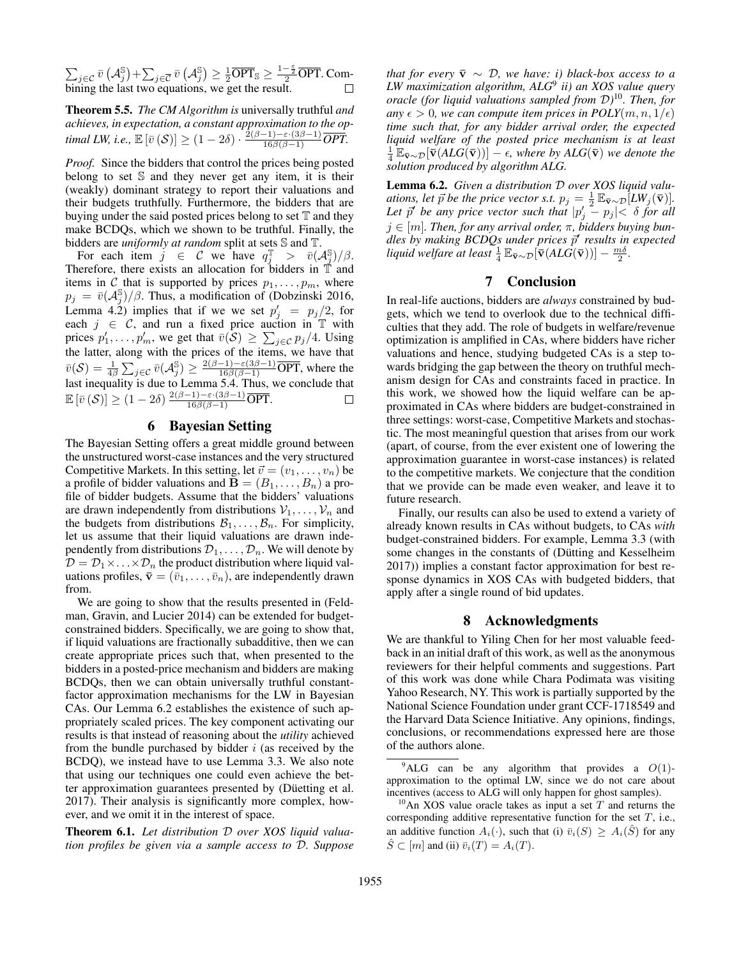$\sum_{j\in\mathcal{C}}\bar{v}\left(\mathcal{A}_j^{\mathbb{S}}\right)+\sum_{j\in\overline{\mathcal{C}}}\bar{v}\left(\mathcal{A}_j^{\mathbb{S}}\right)\geq\frac{1}{2}\overline{\text{OPT}}_{\mathbb{S}}\geq\frac{1-\frac{\varepsilon}{2}}{2}\overline{\text{OPT}}.$  Combining the last two equations, we get the result.

Theorem 5.5. *The CM Algorithm is* universally truthful *and achieves, in expectation, a constant approximation to the optimal LW, i.e.,*  $\mathbb{E}\left[\bar{v}\left(\mathcal{S}\right)\right] \geq (1-2\delta) \cdot \frac{2(\beta-1)-\varepsilon \cdot (3\beta-1)}{16\beta(\beta-1)}\overline{OPT}.$ 

*Proof.* Since the bidders that control the prices being posted belong to set  $S$  and they never get any item, it is their (weakly) dominant strategy to report their valuations and their budgets truthfully. Furthermore, the bidders that are buying under the said posted prices belong to set  $T$  and they make BCDQs, which we shown to be truthful. Finally, the bidders are *uniformly at random* split at sets S and T.

For each item  $j \in \mathcal{C}$  we have  $q_j^{\mathbb{T}} > \bar{v}(\mathcal{A}_j^{\mathbb{S}})/\beta$ . Therefore, there exists an allocation for bidders in  $\mathbb{T}$  and items in C that is supported by prices  $p_1, \ldots, p_m$ , where  $p_j = \bar{v}(A_j^{\mathbb{S}})/\beta$ . Thus, a modification of (Dobzinski 2016, Lemma 4.2) implies that if we we set  $p'_j = p_j/2$ , for each  $j \in \mathcal{C}$ , and run a fixed price auction in T with prices  $p'_1, \ldots, p'_m$ , we get that  $\bar{v}(S) \ge \sum_{j \in C} p_j/4$ . Using the latter, along with the prices of the items, we have that  $\bar{v}(\mathcal{S}) = \frac{1}{4\beta} \sum_{j \in \mathcal{C}} \bar{v}(\mathcal{A}_j^{\mathbb{S}}) \ge \frac{2(\beta - 1) - \varepsilon(3\beta - 1)}{16\beta(\beta - 1)} \overline{\text{OPT}},$  where the last inequality is due to Lemma 5.4. Thus, we conclude that  $\mathbb{E}\left[\bar{v}\left(\mathcal{S}\right)\right] \geq (1-2\delta) \frac{2(\beta-1)-\varepsilon\cdot(3\beta-1)}{16\beta(\beta-1)}\overline{\text{OPT}}.$ 

## 6 Bayesian Setting

The Bayesian Setting offers a great middle ground between the unstructured worst-case instances and the very structured Competitive Markets. In this setting, let  $\vec{v} = (v_1, \dots, v_n)$  be a profile of bidder valuations and  $\mathbf{B} = (B_1, \ldots, B_n)$  a profile of bidder budgets. Assume that the bidders' valuations are drawn independently from distributions  $V_1, \ldots, V_n$  and the budgets from distributions  $\mathcal{B}_1, \ldots, \mathcal{B}_n$ . For simplicity, let us assume that their liquid valuations are drawn independently from distributions  $\mathcal{D}_1, \ldots, \mathcal{D}_n$ . We will denote by  $\mathcal{D} = \mathcal{D}_1 \times \ldots \times \mathcal{D}_n$  the product distribution where liquid valuations profiles,  $\bar{\mathbf{v}} = (\bar{v}_1, \dots, \bar{v}_n)$ , are independently drawn from.

We are going to show that the results presented in (Feldman, Gravin, and Lucier 2014) can be extended for budgetconstrained bidders. Specifically, we are going to show that, if liquid valuations are fractionally subadditive, then we can create appropriate prices such that, when presented to the bidders in a posted-price mechanism and bidders are making BCDQs, then we can obtain universally truthful constantfactor approximation mechanisms for the LW in Bayesian CAs. Our Lemma 6.2 establishes the existence of such appropriately scaled prices. The key component activating our results is that instead of reasoning about the *utility* achieved from the bundle purchased by bidder  $i$  (as received by the BCDQ), we instead have to use Lemma 3.3. We also note that using our techniques one could even achieve the better approximation guarantees presented by (Düetting et al. 2017). Their analysis is significantly more complex, however, and we omit it in the interest of space.

Theorem 6.1. *Let distribution* D *over XOS liquid valuation profiles be given via a sample access to* D*. Suppose* *that for every*  $\bar{v} \sim \mathcal{D}$ , we have: i) black-box access to a *LW maximization algorithm, ALG*<sup>9</sup> *ii) an XOS value query oracle (for liquid valuations sampled from* D*)* <sup>10</sup>*. Then, for any*  $\epsilon > 0$ *, we can compute item prices in POLY* $(m, n, 1/\epsilon)$ *time such that, for any bidder arrival order, the expected liquid welfare of the posted price mechanism is at least*  $\frac{1}{4} \mathbb{E}_{\bar{\mathbf{v}} \sim \mathcal{D}}[\bar{\mathbf{v}}(ALG(\bar{\mathbf{v}}))] - \epsilon$ , where by  $ALG(\bar{\mathbf{v}})$  we denote the *solution produced by algorithm ALG.*

Lemma 6.2. *Given a distribution* D *over XOS liquid valuations, let*  $\vec{p}$  *be the price vector s.t.*  $p_j = \frac{1}{2} \mathbb{E}_{\bar{\mathbf{v}} \sim \mathcal{D}} [L W_j(\bar{\mathbf{v}})]$ *.* Let  $\vec{p}$  be any price vector such that  $|p'_j - p_j| < \delta$  for all  $j \in [m]$ . Then, for any arrival order,  $\pi$ , bidders buying bundles by making *BCDQs under prices*  $\vec{p}'$  results in expected *liquid welfare at least*  $\frac{1}{4} \mathbb{E}_{\bar{\mathbf{v}} \sim \mathcal{D}} [\bar{\mathbf{v}}(ALG(\bar{\mathbf{v}}))] - \frac{m\delta}{2}$ .

## 7 Conclusion

In real-life auctions, bidders are *always* constrained by budgets, which we tend to overlook due to the technical difficulties that they add. The role of budgets in welfare/revenue optimization is amplified in CAs, where bidders have richer valuations and hence, studying budgeted CAs is a step towards bridging the gap between the theory on truthful mechanism design for CAs and constraints faced in practice. In this work, we showed how the liquid welfare can be approximated in CAs where bidders are budget-constrained in three settings: worst-case, Competitive Markets and stochastic. The most meaningful question that arises from our work (apart, of course, from the ever existent one of lowering the approximation guarantee in worst-case instances) is related to the competitive markets. We conjecture that the condition that we provide can be made even weaker, and leave it to future research.

Finally, our results can also be used to extend a variety of already known results in CAs without budgets, to CAs *with* budget-constrained bidders. For example, Lemma 3.3 (with some changes in the constants of (Dütting and Kesselheim 2017)) implies a constant factor approximation for best response dynamics in XOS CAs with budgeted bidders, that apply after a single round of bid updates.

## 8 Acknowledgments

We are thankful to Yiling Chen for her most valuable feedback in an initial draft of this work, as well as the anonymous reviewers for their helpful comments and suggestions. Part of this work was done while Chara Podimata was visiting Yahoo Research, NY. This work is partially supported by the National Science Foundation under grant CCF-1718549 and the Harvard Data Science Initiative. Any opinions, findings, conclusions, or recommendations expressed here are those of the authors alone.

 $9^9$ ALG can be any algorithm that provides a  $O(1)$ approximation to the optimal LW, since we do not care about incentives (access to ALG will only happen for ghost samples).

<sup>&</sup>lt;sup>10</sup>An XOS value oracle takes as input a set  $T$  and returns the corresponding additive representative function for the set  $T$ , i.e., an additive function  $A_i(\cdot)$ , such that (i)  $\bar{v}_i(S) \geq A_i(\hat{S})$  for any  $\hat{S} \subset [m]$  and (ii)  $\bar{v}_i(T) = A_i(T)$ .